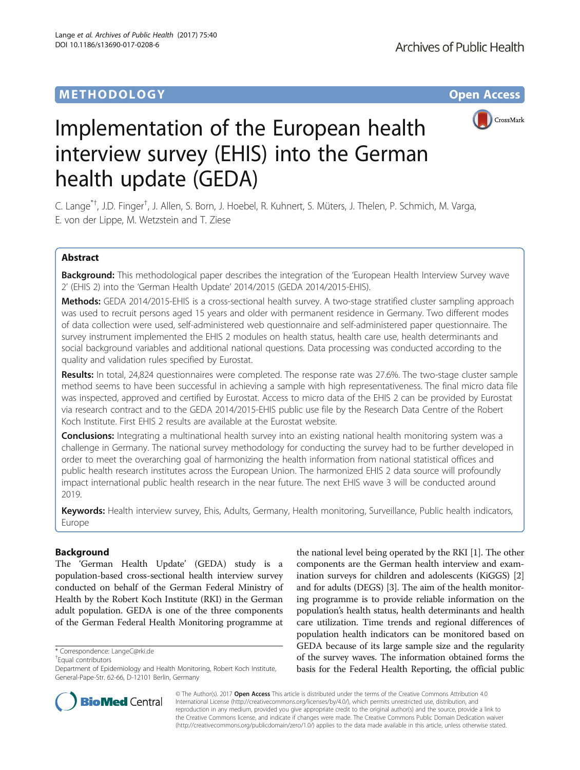# **METHODOLOGY CONSUMING ACCESS**



# Implementation of the European health interview survey (EHIS) into the German health update (GEDA)

C. Lange<sup>\*†</sup>, J.D. Finger<sup>†</sup>, J. Allen, S. Born, J. Hoebel, R. Kuhnert, S. Müters, J. Thelen, P. Schmich, M. Varga, E. von der Lippe, M. Wetzstein and T. Ziese

# Abstract

Background: This methodological paper describes the integration of the 'European Health Interview Survey wave 2' (EHIS 2) into the 'German Health Update' 2014/2015 (GEDA 2014/2015-EHIS).

Methods: GEDA 2014/2015-EHIS is a cross-sectional health survey. A two-stage stratified cluster sampling approach was used to recruit persons aged 15 years and older with permanent residence in Germany. Two different modes of data collection were used, self-administered web questionnaire and self-administered paper questionnaire. The survey instrument implemented the EHIS 2 modules on health status, health care use, health determinants and social background variables and additional national questions. Data processing was conducted according to the quality and validation rules specified by Eurostat.

Results: In total, 24,824 questionnaires were completed. The response rate was 27.6%. The two-stage cluster sample method seems to have been successful in achieving a sample with high representativeness. The final micro data file was inspected, approved and certified by Eurostat. Access to micro data of the EHIS 2 can be provided by Eurostat via research contract and to the GEDA 2014/2015-EHIS public use file by the Research Data Centre of the Robert Koch Institute. First EHIS 2 results are available at the Eurostat website.

**Conclusions:** Integrating a multinational health survey into an existing national health monitoring system was a challenge in Germany. The national survey methodology for conducting the survey had to be further developed in order to meet the overarching goal of harmonizing the health information from national statistical offices and public health research institutes across the European Union. The harmonized EHIS 2 data source will profoundly impact international public health research in the near future. The next EHIS wave 3 will be conducted around 2019.

Keywords: Health interview survey, Ehis, Adults, Germany, Health monitoring, Surveillance, Public health indicators, Europe

# Background

The 'German Health Update' (GEDA) study is a population-based cross-sectional health interview survey conducted on behalf of the German Federal Ministry of Health by the Robert Koch Institute (RKI) in the German adult population. GEDA is one of the three components of the German Federal Health Monitoring programme at

Equal contributors

the national level being operated by the RKI [\[1\]](#page-12-0). The other components are the German health interview and examination surveys for children and adolescents (KiGGS) [[2](#page-12-0)] and for adults (DEGS) [\[3\]](#page-12-0). The aim of the health monitoring programme is to provide reliable information on the population's health status, health determinants and health care utilization. Time trends and regional differences of population health indicators can be monitored based on GEDA because of its large sample size and the regularity of the survey waves. The information obtained forms the basis for the Federal Health Reporting, the official public



© The Author(s). 2017 **Open Access** This article is distributed under the terms of the Creative Commons Attribution 4.0 International License [\(http://creativecommons.org/licenses/by/4.0/](http://creativecommons.org/licenses/by/4.0/)), which permits unrestricted use, distribution, and reproduction in any medium, provided you give appropriate credit to the original author(s) and the source, provide a link to the Creative Commons license, and indicate if changes were made. The Creative Commons Public Domain Dedication waiver [\(http://creativecommons.org/publicdomain/zero/1.0/](http://creativecommons.org/publicdomain/zero/1.0/)) applies to the data made available in this article, unless otherwise stated.

<sup>\*</sup> Correspondence: [LangeC@rki.de](mailto:LangeC@rki.de) †

Department of Epidemiology and Health Monitoring, Robert Koch Institute, General-Pape-Str. 62-66, D-12101 Berlin, Germany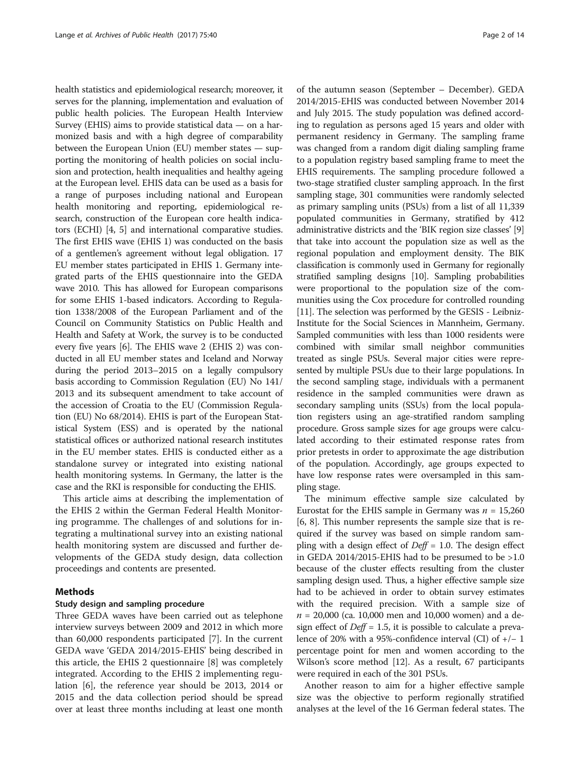health statistics and epidemiological research; moreover, it serves for the planning, implementation and evaluation of public health policies. The European Health Interview Survey (EHIS) aims to provide statistical data — on a harmonized basis and with a high degree of comparability between the European Union (EU) member states — supporting the monitoring of health policies on social inclusion and protection, health inequalities and healthy ageing at the European level. EHIS data can be used as a basis for a range of purposes including national and European health monitoring and reporting, epidemiological research, construction of the European core health indicators (ECHI) [[4, 5](#page-12-0)] and international comparative studies. The first EHIS wave (EHIS 1) was conducted on the basis of a gentlemen's agreement without legal obligation. 17 EU member states participated in EHIS 1. Germany integrated parts of the EHIS questionnaire into the GEDA wave 2010. This has allowed for European comparisons for some EHIS 1-based indicators. According to Regulation 1338/2008 of the European Parliament and of the Council on Community Statistics on Public Health and Health and Safety at Work, the survey is to be conducted every five years [[6](#page-12-0)]. The EHIS wave 2 (EHIS 2) was conducted in all EU member states and Iceland and Norway during the period 2013–2015 on a legally compulsory basis according to Commission Regulation (EU) No 141/ 2013 and its subsequent amendment to take account of the accession of Croatia to the EU (Commission Regulation (EU) No 68/2014). EHIS is part of the European Statistical System (ESS) and is operated by the national statistical offices or authorized national research institutes in the EU member states. EHIS is conducted either as a standalone survey or integrated into existing national health monitoring systems. In Germany, the latter is the case and the RKI is responsible for conducting the EHIS.

This article aims at describing the implementation of the EHIS 2 within the German Federal Health Monitoring programme. The challenges of and solutions for integrating a multinational survey into an existing national health monitoring system are discussed and further developments of the GEDA study design, data collection proceedings and contents are presented.

## Methods

## Study design and sampling procedure

Three GEDA waves have been carried out as telephone interview surveys between 2009 and 2012 in which more than 60,000 respondents participated [[7](#page-12-0)]. In the current GEDA wave 'GEDA 2014/2015-EHIS' being described in this article, the EHIS 2 questionnaire [\[8](#page-12-0)] was completely integrated. According to the EHIS 2 implementing regulation [[6\]](#page-12-0), the reference year should be 2013, 2014 or 2015 and the data collection period should be spread over at least three months including at least one month of the autumn season (September – December). GEDA 2014/2015-EHIS was conducted between November 2014 and July 2015. The study population was defined according to regulation as persons aged 15 years and older with permanent residency in Germany. The sampling frame was changed from a random digit dialing sampling frame to a population registry based sampling frame to meet the EHIS requirements. The sampling procedure followed a two-stage stratified cluster sampling approach. In the first sampling stage, 301 communities were randomly selected as primary sampling units (PSUs) from a list of all 11,339 populated communities in Germany, stratified by 412 administrative districts and the 'BIK region size classes' [[9](#page-12-0)] that take into account the population size as well as the regional population and employment density. The BIK classification is commonly used in Germany for regionally stratified sampling designs [[10](#page-12-0)]. Sampling probabilities were proportional to the population size of the communities using the Cox procedure for controlled rounding [[11](#page-12-0)]. The selection was performed by the GESIS - Leibniz-Institute for the Social Sciences in Mannheim, Germany. Sampled communities with less than 1000 residents were combined with similar small neighbor communities treated as single PSUs. Several major cities were represented by multiple PSUs due to their large populations. In the second sampling stage, individuals with a permanent residence in the sampled communities were drawn as secondary sampling units (SSUs) from the local population registers using an age-stratified random sampling procedure. Gross sample sizes for age groups were calculated according to their estimated response rates from prior pretests in order to approximate the age distribution of the population. Accordingly, age groups expected to have low response rates were oversampled in this sampling stage.

The minimum effective sample size calculated by Eurostat for the EHIS sample in Germany was  $n = 15,260$ [[6, 8](#page-12-0)]. This number represents the sample size that is required if the survey was based on simple random sampling with a design effect of  $Deff = 1.0$ . The design effect in GEDA 2014/2015-EHIS had to be presumed to be >1.0 because of the cluster effects resulting from the cluster sampling design used. Thus, a higher effective sample size had to be achieved in order to obtain survey estimates with the required precision. With a sample size of  $n = 20,000$  (ca. 10,000 men and 10,000 women) and a design effect of  $Deff = 1.5$ , it is possible to calculate a prevalence of 20% with a 95%-confidence interval (CI) of  $+/-1$ percentage point for men and women according to the Wilson's score method [\[12\]](#page-12-0). As a result, 67 participants were required in each of the 301 PSUs.

Another reason to aim for a higher effective sample size was the objective to perform regionally stratified analyses at the level of the 16 German federal states. The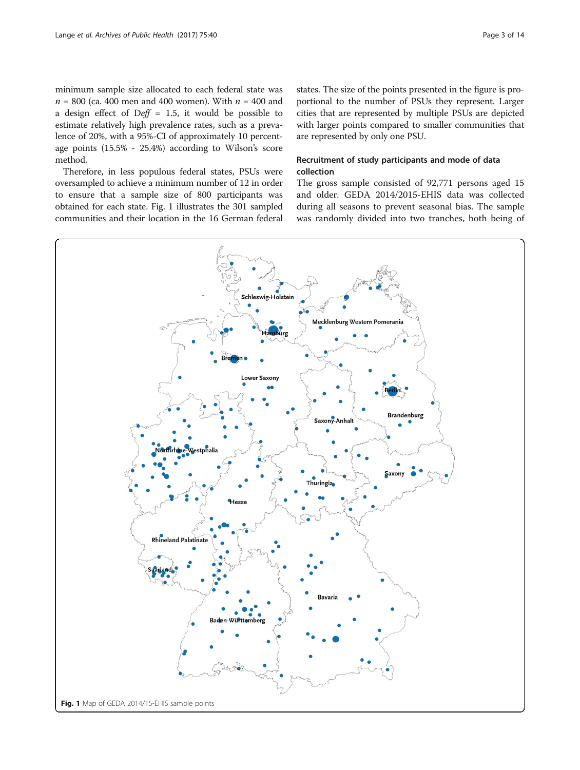minimum sample size allocated to each federal state was  $n = 800$  (ca. 400 men and 400 women). With  $n = 400$  and a design effect of  $Deff = 1.5$ , it would be possible to estimate relatively high prevalence rates, such as a prevalence of 20%, with a 95%-CI of approximately 10 percentage points (15.5% - 25.4%) according to Wilson's score method.

Therefore, in less populous federal states, PSUs were oversampled to achieve a minimum number of 12 in order to ensure that a sample size of 800 participants was obtained for each state. Fig. 1 illustrates the 301 sampled communities and their location in the 16 German federal states. The size of the points presented in the figure is proportional to the number of PSUs they represent. Larger cities that are represented by multiple PSUs are depicted with larger points compared to smaller communities that are represented by only one PSU.

# Recruitment of study participants and mode of data collection

The gross sample consisted of 92,771 persons aged 15 and older. GEDA 2014/2015-EHIS data was collected during all seasons to prevent seasonal bias. The sample was randomly divided into two tranches, both being of

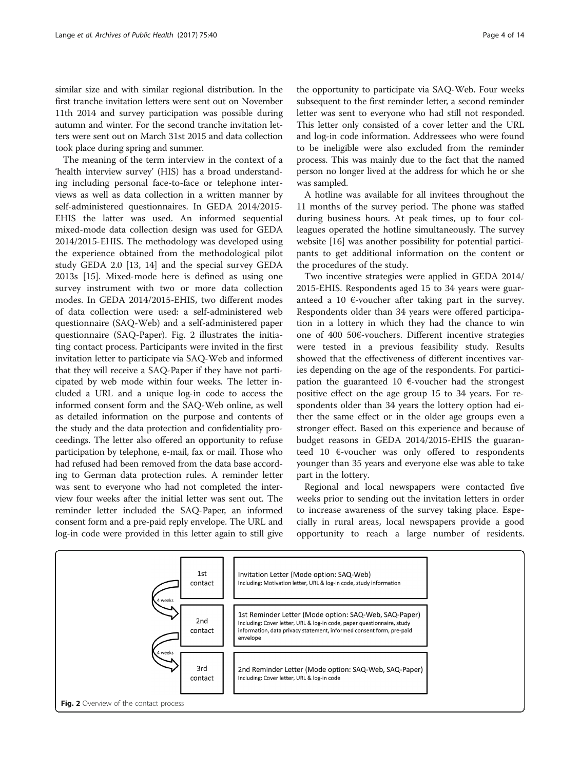similar size and with similar regional distribution. In the first tranche invitation letters were sent out on November 11th 2014 and survey participation was possible during autumn and winter. For the second tranche invitation letters were sent out on March 31st 2015 and data collection took place during spring and summer.

The meaning of the term interview in the context of a 'health interview survey' (HIS) has a broad understanding including personal face-to-face or telephone interviews as well as data collection in a written manner by self-administered questionnaires. In GEDA 2014/2015- EHIS the latter was used. An informed sequential mixed-mode data collection design was used for GEDA 2014/2015-EHIS. The methodology was developed using the experience obtained from the methodological pilot study GEDA 2.0 [[13, 14\]](#page-12-0) and the special survey GEDA 2013s [\[15](#page-12-0)]. Mixed-mode here is defined as using one survey instrument with two or more data collection modes. In GEDA 2014/2015-EHIS, two different modes of data collection were used: a self-administered web questionnaire (SAQ-Web) and a self-administered paper questionnaire (SAQ-Paper). Fig. 2 illustrates the initiating contact process. Participants were invited in the first invitation letter to participate via SAQ-Web and informed that they will receive a SAQ-Paper if they have not participated by web mode within four weeks. The letter included a URL and a unique log-in code to access the informed consent form and the SAQ-Web online, as well as detailed information on the purpose and contents of the study and the data protection and confidentiality proceedings. The letter also offered an opportunity to refuse participation by telephone, e-mail, fax or mail. Those who had refused had been removed from the data base according to German data protection rules. A reminder letter was sent to everyone who had not completed the interview four weeks after the initial letter was sent out. The reminder letter included the SAQ-Paper, an informed consent form and a pre-paid reply envelope. The URL and log-in code were provided in this letter again to still give

the opportunity to participate via SAQ-Web. Four weeks subsequent to the first reminder letter, a second reminder letter was sent to everyone who had still not responded. This letter only consisted of a cover letter and the URL and log-in code information. Addressees who were found to be ineligible were also excluded from the reminder process. This was mainly due to the fact that the named person no longer lived at the address for which he or she was sampled.

A hotline was available for all invitees throughout the 11 months of the survey period. The phone was staffed during business hours. At peak times, up to four colleagues operated the hotline simultaneously. The survey website [\[16](#page-12-0)] was another possibility for potential participants to get additional information on the content or the procedures of the study.

Two incentive strategies were applied in GEDA 2014/ 2015-EHIS. Respondents aged 15 to 34 years were guaranteed a 10  $\epsilon$ -voucher after taking part in the survey. Respondents older than 34 years were offered participation in a lottery in which they had the chance to win one of 400 50€-vouchers. Different incentive strategies were tested in a previous feasibility study. Results showed that the effectiveness of different incentives varies depending on the age of the respondents. For participation the guaranteed 10  $\epsilon$ -voucher had the strongest positive effect on the age group 15 to 34 years. For respondents older than 34 years the lottery option had either the same effect or in the older age groups even a stronger effect. Based on this experience and because of budget reasons in GEDA 2014/2015-EHIS the guaranteed 10  $\epsilon$ -voucher was only offered to respondents younger than 35 years and everyone else was able to take part in the lottery.

Regional and local newspapers were contacted five weeks prior to sending out the invitation letters in order to increase awareness of the survey taking place. Especially in rural areas, local newspapers provide a good opportunity to reach a large number of residents.

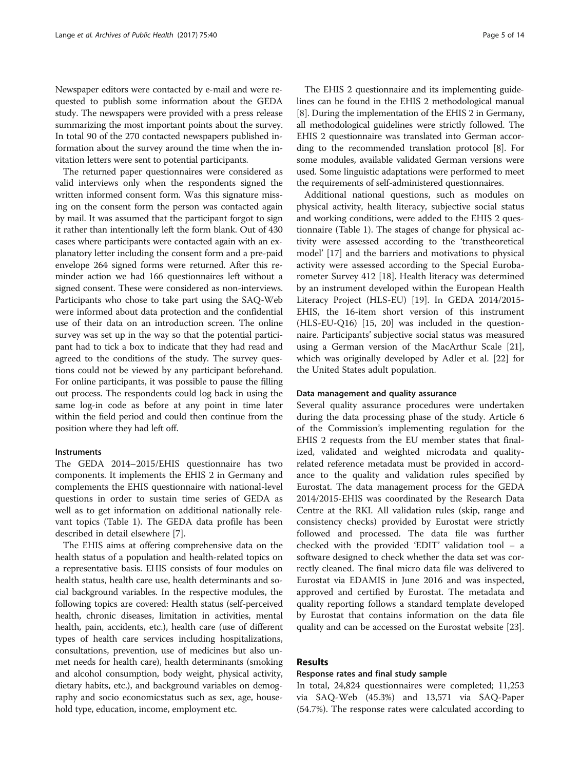Newspaper editors were contacted by e-mail and were requested to publish some information about the GEDA study. The newspapers were provided with a press release summarizing the most important points about the survey. In total 90 of the 270 contacted newspapers published information about the survey around the time when the invitation letters were sent to potential participants.

The returned paper questionnaires were considered as valid interviews only when the respondents signed the written informed consent form. Was this signature missing on the consent form the person was contacted again by mail. It was assumed that the participant forgot to sign it rather than intentionally left the form blank. Out of 430 cases where participants were contacted again with an explanatory letter including the consent form and a pre-paid envelope 264 signed forms were returned. After this reminder action we had 166 questionnaires left without a signed consent. These were considered as non-interviews. Participants who chose to take part using the SAQ-Web were informed about data protection and the confidential use of their data on an introduction screen. The online survey was set up in the way so that the potential participant had to tick a box to indicate that they had read and agreed to the conditions of the study. The survey questions could not be viewed by any participant beforehand. For online participants, it was possible to pause the filling out process. The respondents could log back in using the same log-in code as before at any point in time later within the field period and could then continue from the position where they had left off.

#### **Instruments**

The GEDA 2014–2015/EHIS questionnaire has two components. It implements the EHIS 2 in Germany and complements the EHIS questionnaire with national-level questions in order to sustain time series of GEDA as well as to get information on additional nationally relevant topics (Table [1](#page-5-0)). The GEDA data profile has been described in detail elsewhere [\[7](#page-12-0)].

The EHIS aims at offering comprehensive data on the health status of a population and health-related topics on a representative basis. EHIS consists of four modules on health status, health care use, health determinants and social background variables. In the respective modules, the following topics are covered: Health status (self-perceived health, chronic diseases, limitation in activities, mental health, pain, accidents, etc.), health care (use of different types of health care services including hospitalizations, consultations, prevention, use of medicines but also unmet needs for health care), health determinants (smoking and alcohol consumption, body weight, physical activity, dietary habits, etc.), and background variables on demography and socio economicstatus such as sex, age, household type, education, income, employment etc.

The EHIS 2 questionnaire and its implementing guidelines can be found in the EHIS 2 methodological manual [[8\]](#page-12-0). During the implementation of the EHIS 2 in Germany, all methodological guidelines were strictly followed. The EHIS 2 questionnaire was translated into German according to the recommended translation protocol [[8\]](#page-12-0). For some modules, available validated German versions were used. Some linguistic adaptations were performed to meet the requirements of self-administered questionnaires.

Additional national questions, such as modules on physical activity, health literacy, subjective social status and working conditions, were added to the EHIS 2 questionnaire (Table [1\)](#page-5-0). The stages of change for physical activity were assessed according to the 'transtheoretical model' [[17](#page-12-0)] and the barriers and motivations to physical activity were assessed according to the Special Eurobarometer Survey 412 [\[18](#page-12-0)]. Health literacy was determined by an instrument developed within the European Health Literacy Project (HLS-EU) [[19\]](#page-12-0). In GEDA 2014/2015- EHIS, the 16-item short version of this instrument (HLS-EU-Q16) [[15, 20\]](#page-12-0) was included in the questionnaire. Participants' subjective social status was measured using a German version of the MacArthur Scale [\[21](#page-12-0)], which was originally developed by Adler et al. [[22](#page-12-0)] for the United States adult population.

#### Data management and quality assurance

Several quality assurance procedures were undertaken during the data processing phase of the study. Article 6 of the Commission's implementing regulation for the EHIS 2 requests from the EU member states that finalized, validated and weighted microdata and qualityrelated reference metadata must be provided in accordance to the quality and validation rules specified by Eurostat. The data management process for the GEDA 2014/2015-EHIS was coordinated by the Research Data Centre at the RKI. All validation rules (skip, range and consistency checks) provided by Eurostat were strictly followed and processed. The data file was further checked with the provided 'EDIT' validation tool – a software designed to check whether the data set was correctly cleaned. The final micro data file was delivered to Eurostat via EDAMIS in June 2016 and was inspected, approved and certified by Eurostat. The metadata and quality reporting follows a standard template developed by Eurostat that contains information on the data file quality and can be accessed on the Eurostat website [\[23](#page-12-0)].

# Results

## Response rates and final study sample

In total, 24,824 questionnaires were completed; 11,253 via SAQ-Web (45.3%) and 13,571 via SAQ-Paper (54.7%). The response rates were calculated according to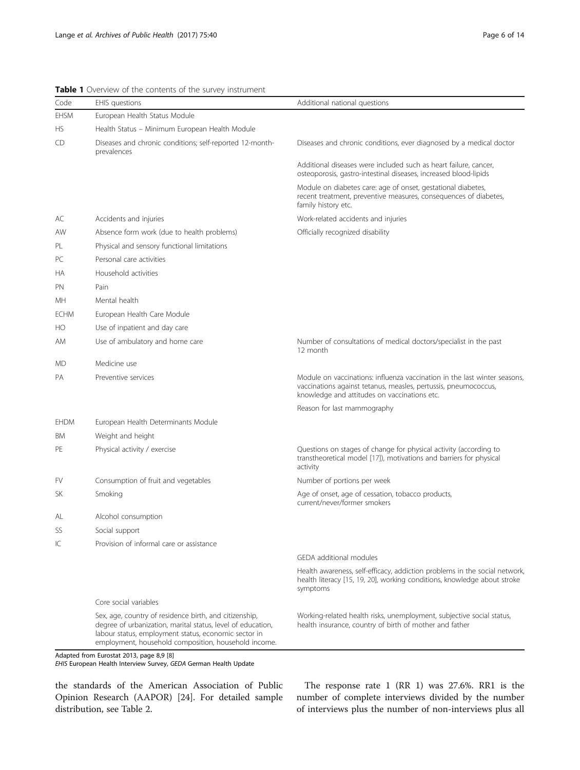| Code        | EHIS questions                                                                                                                                                                                                                        | Additional national questions                                                                                                                                                                |
|-------------|---------------------------------------------------------------------------------------------------------------------------------------------------------------------------------------------------------------------------------------|----------------------------------------------------------------------------------------------------------------------------------------------------------------------------------------------|
| <b>EHSM</b> | European Health Status Module                                                                                                                                                                                                         |                                                                                                                                                                                              |
| HS          | Health Status - Minimum European Health Module                                                                                                                                                                                        |                                                                                                                                                                                              |
| CD          | Diseases and chronic conditions; self-reported 12-month-<br>prevalences                                                                                                                                                               | Diseases and chronic conditions, ever diagnosed by a medical doctor                                                                                                                          |
|             |                                                                                                                                                                                                                                       | Additional diseases were included such as heart failure, cancer,<br>osteoporosis, gastro-intestinal diseases, increased blood-lipids                                                         |
|             |                                                                                                                                                                                                                                       | Module on diabetes care: age of onset, gestational diabetes,<br>recent treatment, preventive measures, consequences of diabetes,<br>family history etc.                                      |
| АC          | Accidents and injuries                                                                                                                                                                                                                | Work-related accidents and injuries                                                                                                                                                          |
| AW          | Absence form work (due to health problems)                                                                                                                                                                                            | Officially recognized disability                                                                                                                                                             |
| PL          | Physical and sensory functional limitations                                                                                                                                                                                           |                                                                                                                                                                                              |
| PC          | Personal care activities                                                                                                                                                                                                              |                                                                                                                                                                                              |
| НA          | Household activities                                                                                                                                                                                                                  |                                                                                                                                                                                              |
| PN.         | Pain                                                                                                                                                                                                                                  |                                                                                                                                                                                              |
| MН          | Mental health                                                                                                                                                                                                                         |                                                                                                                                                                                              |
| <b>ECHM</b> | European Health Care Module                                                                                                                                                                                                           |                                                                                                                                                                                              |
| HО          | Use of inpatient and day care                                                                                                                                                                                                         |                                                                                                                                                                                              |
| ΑM          | Use of ambulatory and home care                                                                                                                                                                                                       | Number of consultations of medical doctors/specialist in the past<br>12 month                                                                                                                |
| МD          | Medicine use                                                                                                                                                                                                                          |                                                                                                                                                                                              |
| РA          | Preventive services                                                                                                                                                                                                                   | Module on vaccinations: influenza vaccination in the last winter seasons,<br>vaccinations against tetanus, measles, pertussis, pneumococcus,<br>knowledge and attitudes on vaccinations etc. |
|             |                                                                                                                                                                                                                                       | Reason for last mammography                                                                                                                                                                  |
| <b>EHDM</b> | European Health Determinants Module                                                                                                                                                                                                   |                                                                                                                                                                                              |
| ΒM          | Weight and height                                                                                                                                                                                                                     |                                                                                                                                                                                              |
| PE          | Physical activity / exercise                                                                                                                                                                                                          | Questions on stages of change for physical activity (according to<br>transtheoretical model [17]), motivations and barriers for physical<br>activity                                         |
| FV          | Consumption of fruit and vegetables                                                                                                                                                                                                   | Number of portions per week                                                                                                                                                                  |
| SК          | Smoking                                                                                                                                                                                                                               | Age of onset, age of cessation, tobacco products,<br>current/never/former smokers                                                                                                            |
| AL          | Alcohol consumption                                                                                                                                                                                                                   |                                                                                                                                                                                              |
| SS          | Social support                                                                                                                                                                                                                        |                                                                                                                                                                                              |
| IС          | Provision of informal care or assistance                                                                                                                                                                                              |                                                                                                                                                                                              |
|             |                                                                                                                                                                                                                                       | <b>GEDA</b> additional modules                                                                                                                                                               |
|             |                                                                                                                                                                                                                                       | Health awareness, self-efficacy, addiction problems in the social network,<br>health literacy [15, 19, 20], working conditions, knowledge about stroke<br>symptoms                           |
|             | Core social variables                                                                                                                                                                                                                 |                                                                                                                                                                                              |
|             | Sex, age, country of residence birth, and citizenship,<br>degree of urbanization, marital status, level of education,<br>labour status, employment status, economic sector in<br>employment, household composition, household income. | Working-related health risks, unemployment, subjective social status,<br>health insurance, country of birth of mother and father                                                             |

<span id="page-5-0"></span>Table 1 Overview of the contents of the survey instrument

Adapted from Eurostat 2013, page 8,9 [\[8\]](#page-12-0)

EHIS European Health Interview Survey, GEDA German Health Update

the standards of the American Association of Public Opinion Research (AAPOR) [\[24](#page-12-0)]. For detailed sample distribution, see Table [2](#page-6-0).

The response rate 1 (RR 1) was 27.6%. RR1 is the number of complete interviews divided by the number of interviews plus the number of non-interviews plus all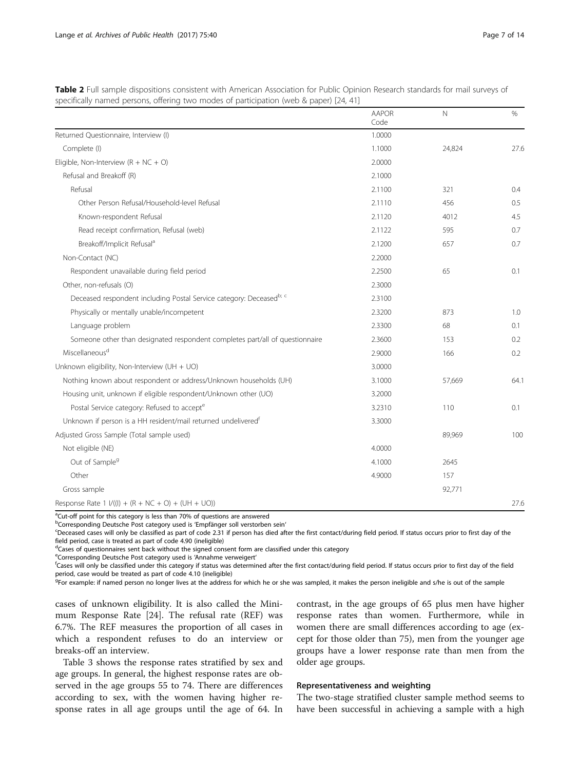|                                                                              | <b>AAPOR</b><br>Code | $\mathbb N$ | $\frac{0}{0}$ |
|------------------------------------------------------------------------------|----------------------|-------------|---------------|
| Returned Questionnaire, Interview (I)                                        | 1.0000               |             |               |
| Complete (I)                                                                 | 1.1000               | 24,824      | 27.6          |
| Eligible, Non-Interview $(R + NC + O)$                                       | 2.0000               |             |               |
| Refusal and Breakoff (R)                                                     | 2.1000               |             |               |
| Refusal                                                                      | 2.1100               | 321         | 0.4           |
| Other Person Refusal/Household-level Refusal                                 | 2.1110               | 456         | 0.5           |
| Known-respondent Refusal                                                     | 2.1120               | 4012        | 4.5           |
| Read receipt confirmation, Refusal (web)                                     | 2.1122               | 595         | 0.7           |
| Breakoff/Implicit Refusal <sup>a</sup>                                       | 2.1200               | 657         | 0.7           |
| Non-Contact (NC)                                                             | 2.2000               |             |               |
| Respondent unavailable during field period                                   | 2.2500               | 65          | 0.1           |
| Other, non-refusals (O)                                                      | 2.3000               |             |               |
| Deceased respondent including Postal Service category: Deceasedb; c          | 2.3100               |             |               |
| Physically or mentally unable/incompetent                                    | 2.3200               | 873         | 1.0           |
| Language problem                                                             | 2.3300               | 68          | 0.1           |
| Someone other than designated respondent completes part/all of questionnaire | 2.3600               | 153         | 0.2           |
| Miscellaneous <sup>d</sup>                                                   | 2.9000               | 166         | 0.2           |
| Unknown eligibility, Non-Interview (UH + UO)                                 | 3.0000               |             |               |
| Nothing known about respondent or address/Unknown households (UH)            | 3.1000               | 57,669      | 64.1          |
| Housing unit, unknown if eligible respondent/Unknown other (UO)              | 3.2000               |             |               |
| Postal Service category: Refused to accept <sup>e</sup>                      | 3.2310               | 110         | 0.1           |
| Unknown if person is a HH resident/mail returned undelivered <sup>f</sup>    | 3.3000               |             |               |
| Adjusted Gross Sample (Total sample used)                                    |                      | 89,969      | 100           |
| Not eligible (NE)                                                            | 4.0000               |             |               |
| Out of Sample <sup>g</sup>                                                   | 4.1000               | 2645        |               |
| Other                                                                        | 4.9000               | 157         |               |
| Gross sample                                                                 |                      | 92,771      |               |
| Response Rate 1 $1/(1) + (R + NC + O) + (UH + UO)$                           |                      |             | 27.6          |

<span id="page-6-0"></span>Table 2 Full sample dispositions consistent with American Association for Public Opinion Research standards for mail surveys of specifically named persons, offering two modes of participation (web & paper) [\[24,](#page-12-0) [41](#page-13-0)]

<sup>a</sup>Cut-off point for this category is less than 70% of questions are answered

bCorresponding Deutsche Post category used is 'Empfänger soll verstorben sein'<br><sup>C</sup>Deceased cases will only be classified as part of code 2.31 if person has died af <sup>c</sup>Deceased cases will only be classified as part of code 2.31 if person has died after the first contact/during field period. If status occurs prior to first day of the field period, case is treated as part of code 4.90 (ineligible)

<sup>d</sup>Cases of questionnaires sent back without the signed consent form are classified under this category

e Corresponding Deutsche Post category used is 'Annahme verweigert'<br><sup>f</sup>Cases will only be classified under this category if status was determined

<sup>f</sup>Cases will only be classified under this category if status was determined after the first contact/during field period. If status occurs prior to first day of the field period, case would be treated as part of code 4.10 (ineligible)

<sup>g</sup>For example: if named person no longer lives at the address for which he or she was sampled, it makes the person ineligible and s/he is out of the sample

cases of unknown eligibility. It is also called the Minimum Response Rate [\[24\]](#page-12-0). The refusal rate (REF) was 6.7%. The REF measures the proportion of all cases in which a respondent refuses to do an interview or breaks-off an interview.

Table [3](#page-7-0) shows the response rates stratified by sex and age groups. In general, the highest response rates are observed in the age groups 55 to 74. There are differences according to sex, with the women having higher response rates in all age groups until the age of 64. In contrast, in the age groups of 65 plus men have higher response rates than women. Furthermore, while in women there are small differences according to age (except for those older than 75), men from the younger age groups have a lower response rate than men from the older age groups.

## Representativeness and weighting

The two-stage stratified cluster sample method seems to have been successful in achieving a sample with a high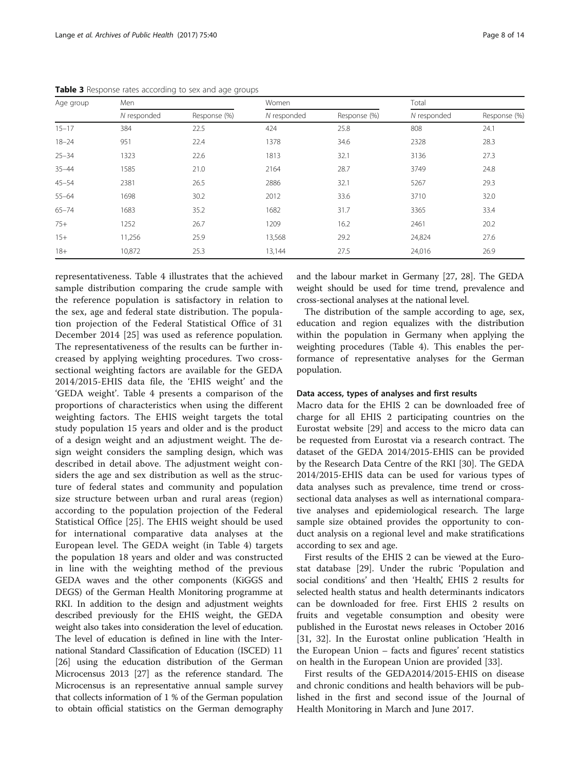| Age group | Men         |              | Women       |              | Total       |              |
|-----------|-------------|--------------|-------------|--------------|-------------|--------------|
|           | N responded | Response (%) | N responded | Response (%) | N responded | Response (%) |
| $15 - 17$ | 384         | 22.5         | 424         | 25.8         | 808         | 24.1         |
| $18 - 24$ | 951         | 22.4         | 1378        | 34.6         | 2328        | 28.3         |
| $25 - 34$ | 1323        | 22.6         | 1813        | 32.1         | 3136        | 27.3         |
| $35 - 44$ | 1585        | 21.0         | 2164        | 28.7         | 3749        | 24.8         |
| $45 - 54$ | 2381        | 26.5         | 2886        | 32.1         | 5267        | 29.3         |
| $55 - 64$ | 1698        | 30.2         | 2012        | 33.6         | 3710        | 32.0         |
| $65 - 74$ | 1683        | 35.2         | 1682        | 31.7         | 3365        | 33.4         |
| $75+$     | 1252        | 26.7         | 1209        | 16.2         | 2461        | 20.2         |
| $15+$     | 11,256      | 25.9         | 13,568      | 29.2         | 24,824      | 27.6         |
| $18+$     | 10,872      | 25.3         | 13,144      | 27.5         | 24,016      | 26.9         |

<span id="page-7-0"></span>Table 3 Response rates according to sex and age groups

representativeness. Table [4](#page-8-0) illustrates that the achieved sample distribution comparing the crude sample with the reference population is satisfactory in relation to the sex, age and federal state distribution. The population projection of the Federal Statistical Office of 31 December 2014 [[25\]](#page-12-0) was used as reference population. The representativeness of the results can be further increased by applying weighting procedures. Two crosssectional weighting factors are available for the GEDA 2014/2015-EHIS data file, the 'EHIS weight' and the 'GEDA weight'. Table [4](#page-8-0) presents a comparison of the proportions of characteristics when using the different weighting factors. The EHIS weight targets the total study population 15 years and older and is the product of a design weight and an adjustment weight. The design weight considers the sampling design, which was described in detail above. The adjustment weight considers the age and sex distribution as well as the structure of federal states and community and population size structure between urban and rural areas (region) according to the population projection of the Federal Statistical Office [\[25](#page-12-0)]. The EHIS weight should be used for international comparative data analyses at the European level. The GEDA weight (in Table [4](#page-8-0)) targets the population 18 years and older and was constructed in line with the weighting method of the previous GEDA waves and the other components (KiGGS and DEGS) of the German Health Monitoring programme at RKI. In addition to the design and adjustment weights described previously for the EHIS weight, the GEDA weight also takes into consideration the level of education. The level of education is defined in line with the International Standard Classification of Education (ISCED) 11 [[26](#page-12-0)] using the education distribution of the German Microcensus 2013 [[27](#page-12-0)] as the reference standard. The Microcensus is an representative annual sample survey that collects information of 1 % of the German population to obtain official statistics on the German demography and the labour market in Germany [[27](#page-12-0), [28](#page-12-0)]. The GEDA weight should be used for time trend, prevalence and cross-sectional analyses at the national level.

The distribution of the sample according to age, sex, education and region equalizes with the distribution within the population in Germany when applying the weighting procedures (Table [4](#page-8-0)). This enables the performance of representative analyses for the German population.

#### Data access, types of analyses and first results

Macro data for the EHIS 2 can be downloaded free of charge for all EHIS 2 participating countries on the Eurostat website [\[29](#page-12-0)] and access to the micro data can be requested from Eurostat via a research contract. The dataset of the GEDA 2014/2015-EHIS can be provided by the Research Data Centre of the RKI [\[30](#page-12-0)]. The GEDA 2014/2015-EHIS data can be used for various types of data analyses such as prevalence, time trend or crosssectional data analyses as well as international comparative analyses and epidemiological research. The large sample size obtained provides the opportunity to conduct analysis on a regional level and make stratifications according to sex and age.

First results of the EHIS 2 can be viewed at the Eurostat database [\[29\]](#page-12-0). Under the rubric 'Population and social conditions' and then 'Health', EHIS 2 results for selected health status and health determinants indicators can be downloaded for free. First EHIS 2 results on fruits and vegetable consumption and obesity were published in the Eurostat news releases in October 2016 [[31, 32\]](#page-12-0). In the Eurostat online publication 'Health in the European Union – facts and figures' recent statistics on health in the European Union are provided [\[33\]](#page-12-0).

First results of the GEDA2014/2015-EHIS on disease and chronic conditions and health behaviors will be published in the first and second issue of the Journal of Health Monitoring in March and June 2017.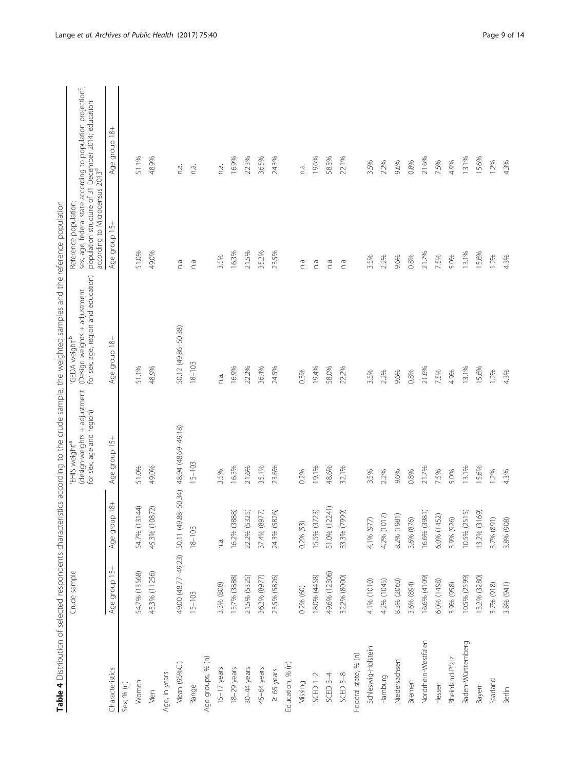<span id="page-8-0"></span>

|                      | Crude sample  |                                         | (design-weights + adjustment<br>for sex, age and region)<br>'EHIS weight <sup>ra</sup> | for sex, age, region and education)<br>(Design weights + adjustment<br>'GEDA weight <sup>16</sup> | according to Microcensus 2013 <sup>d</sup><br>Reference population: | sex, age, federal state according to population projection <sup>c</sup> ,<br>population structure of 31 December 2014; education |
|----------------------|---------------|-----------------------------------------|----------------------------------------------------------------------------------------|---------------------------------------------------------------------------------------------------|---------------------------------------------------------------------|----------------------------------------------------------------------------------------------------------------------------------|
| Characteristics      | Age group 15+ | $18+$<br>Age grou                       | Age group 15+                                                                          | Age group 18+                                                                                     | Age group 15+                                                       | Age group 18+                                                                                                                    |
| Sex, % (n)           |               |                                         |                                                                                        |                                                                                                   |                                                                     |                                                                                                                                  |
| Women                | 54.7% (13568) | 54.7% (13144)                           | 51.0%                                                                                  | 51.1%                                                                                             | 51.0%                                                               | 51.1%                                                                                                                            |
| Men                  | 45.3% (11256) | 45.3% (10872)                           | 49.0%                                                                                  | 48.9%                                                                                             | 49.0%                                                               | 48.9%                                                                                                                            |
| Age, in years        |               |                                         |                                                                                        |                                                                                                   |                                                                     |                                                                                                                                  |
| Mean (95%Cl)         |               | 49.00 (48.77-49.23) 50.11 (49.88-50.34) | 48.94 (48.69-49.18)                                                                    | 50.12 (49.86-50.38)                                                                               | n.a.                                                                | n.a.                                                                                                                             |
| Range                | $15 - 103$    | $18 - 103$                              | $15 - 103$                                                                             | $18 - 103$                                                                                        | n.a.                                                                | n.a.                                                                                                                             |
| Age groups, % (n)    |               |                                         |                                                                                        |                                                                                                   |                                                                     |                                                                                                                                  |
| $15-17$ years        | 3.3% (808)    | n.a.                                    | 3.5%                                                                                   | n.a.                                                                                              | 3.5%                                                                | n.a.                                                                                                                             |
| 18-29 years          | 15.7% (3888)  | 16.2% (3888)                            | 16.3%                                                                                  | 16.9%                                                                                             | 16.3%                                                               | 16.9%                                                                                                                            |
| 30-44 years          | 21.5% (5325)  | 22.2% (5325)                            | 21.6%                                                                                  | 22.2%                                                                                             | 21.5%                                                               | 22.3%                                                                                                                            |
| 45-64 years          | 36.2% (8977)  | 37.4% (8977)                            | 35.1%                                                                                  | 36.4%                                                                                             | 35.2%                                                               | 36.5%                                                                                                                            |
| $\geq 65$ years      | 23.5% (5826)  | 24.3% (5826)                            | 23.6%                                                                                  | 24.5%                                                                                             | 23.5%                                                               | 24.3%                                                                                                                            |
| Education, % (n)     |               |                                         |                                                                                        |                                                                                                   |                                                                     |                                                                                                                                  |
| Missing              | $0.2%$ (60)   | $0.2\%$ (53)                            | 0.2%                                                                                   | 0.3%                                                                                              | n.a.                                                                | n.a.                                                                                                                             |
| $SCED 1-2$           | 18.0% (4458)  | 15.5% (3723)                            | 19.1%                                                                                  | 19.4%                                                                                             | n.a.                                                                | 19.6%                                                                                                                            |
| ISCED 3-4            | 49.6% (12306) | 51.0% (12241)                           | 48.6%                                                                                  | 58.0%                                                                                             | n.a.                                                                | 58.3%                                                                                                                            |
| ISCED 5-8            | 32.2% (8000)  | 33.3% (7999)                            | 32.1%                                                                                  | 22.2%                                                                                             | n.a.                                                                | 22.1%                                                                                                                            |
| Federal state, % (n) |               |                                         |                                                                                        |                                                                                                   |                                                                     |                                                                                                                                  |
| Schleswig-Holstein   | 4.1% (1010)   | 4.1% (977)                              | 3.5%                                                                                   | 3.5%                                                                                              | 3.5%                                                                | 3.5%                                                                                                                             |
| Hamburg              | 4.2% (1045)   | 4.2% (1017)                             | 2.2%                                                                                   | 2.2%                                                                                              | 2.2%                                                                | 2.2%                                                                                                                             |
| Niedersachsen        | 8.3% (2060)   | 8.2% (1981)                             | 9.6%                                                                                   | 9.6%                                                                                              | 9.6%                                                                | 9.6%                                                                                                                             |
| Bremen               | 3.6% (894)    | 3.6% (876)                              | 0.8%                                                                                   | 0.8%                                                                                              | 0.8%                                                                | 0.8%                                                                                                                             |
| Nordrhein-Westfalen  | 16.6% (4109)  | 16.6% (3981)                            | 21.7%                                                                                  | 21.6%                                                                                             | 21.7%                                                               | 21.6%                                                                                                                            |
| Hessen               | 6.0% (1498)   | 6.0% (1452)                             | 7.5%                                                                                   | 7.5%                                                                                              | 7.5%                                                                | 7.5%                                                                                                                             |
| Rheinland-Pfalz      | 3.9% (958)    | 3.9% (926)                              | 5.0%                                                                                   | 4.9%                                                                                              | 5.0%                                                                | 4.9%                                                                                                                             |
| Baden-Württemberg    | 10.5% (2599)  | 10.5% (2515)                            | 13.1%                                                                                  | 13.1%                                                                                             | 13.1%                                                               | 13.1%                                                                                                                            |
| Bayern               | 13.2% (3280)  | 13.2% (3169)                            | 15.6%                                                                                  | 15.6%                                                                                             | 15.6%                                                               | 15.6%                                                                                                                            |
| Saarland             | 3.7% (918)    | 3.7% (891)                              | 1.2%                                                                                   | 1.2%                                                                                              | 1.2%                                                                | 1.2%                                                                                                                             |
| Berlin               | 3.8% (941)    | 3.8% (908                               | 4.3%                                                                                   | 4.3%                                                                                              | 4.3%                                                                | 4.3%                                                                                                                             |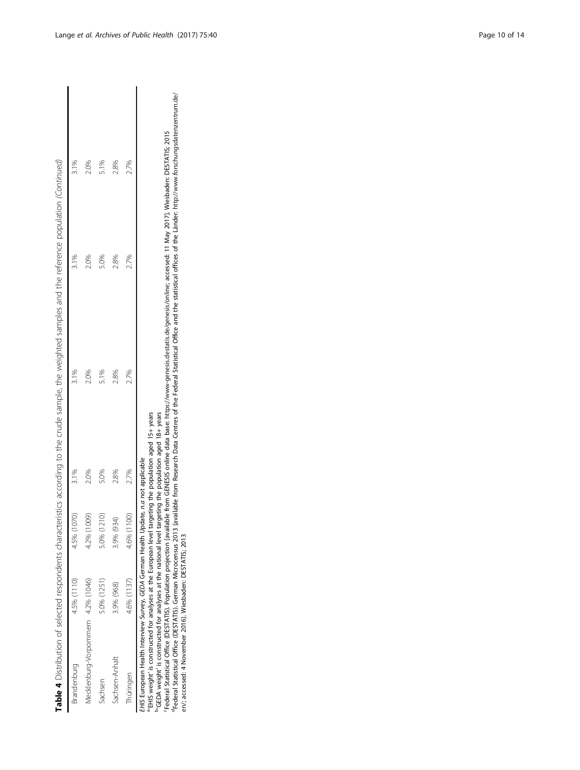|                                    |             |             |       | Table 4 Distribution of selected respondents characteristics according to the crude sample, the weighted samples and the reference population (Continued) |         |      |
|------------------------------------|-------------|-------------|-------|-----------------------------------------------------------------------------------------------------------------------------------------------------------|---------|------|
| trandenburg                        | 4.5% (1110) | 4.5% (1070) |       |                                                                                                                                                           | $3.1\%$ |      |
| Mecklenburg-Vorpommern 4.2% (1046) |             | 4.2% (1009) | $0\%$ | $-0\%$                                                                                                                                                    | $0\%$   | 2.0% |
| achsen                             | 0% (1251)   | 5.0% (1210) | 5.0%  | 5.1%                                                                                                                                                      | 5.0%    | 5.1% |
| achsen-Anhalt                      | 3.9% (968)  | 8.9% (934)  | 2.8%  | 0.8%                                                                                                                                                      | 0.8%    | 2.8% |
| hüringen                           | L6% (1137)  | 4.6% (1100) | 2.7%  | 2.7%                                                                                                                                                      | 2.7%    | 2.7% |

EHIS European Health Interview Survey, GEDA German Health Update, n.a not applicable

a'EHIS weight' is constructed for analyses at the European level targeting the population aged 15+ years

b'GEDA weight' is constructed for analyses at the national level targeting the population aged 18+ years

EHIS European Health Interview Survey, GEDA German Health Update, n.a not applicable<br>"EHIS weight' is constructed for analyses at the European level targeting the population aged 15+ years<br>"GEDA weight' is constructed for dFederal Statistical Office (DESTATIS). German Microcensus 2013 [available from Research Data Centres of the Federal Statistical Office and the statistical offices of the Länder: [http://www.forschungsdatenzentrum.de/](http://www.forschungsdatenzentrum.de/en) cFederal Statistical Office (DESTATIS). Population projection [available from GENESIS online data base: <https://www-genesis.destatis.de/genesis/online>; accessed: 11 May 2017]. Wiesbaden: DESTATIS; 2015 [en/](http://www.forschungsdatenzentrum.de/en); accessed: 4 November 2016]. Wiesbaden: DESTATIS; 2013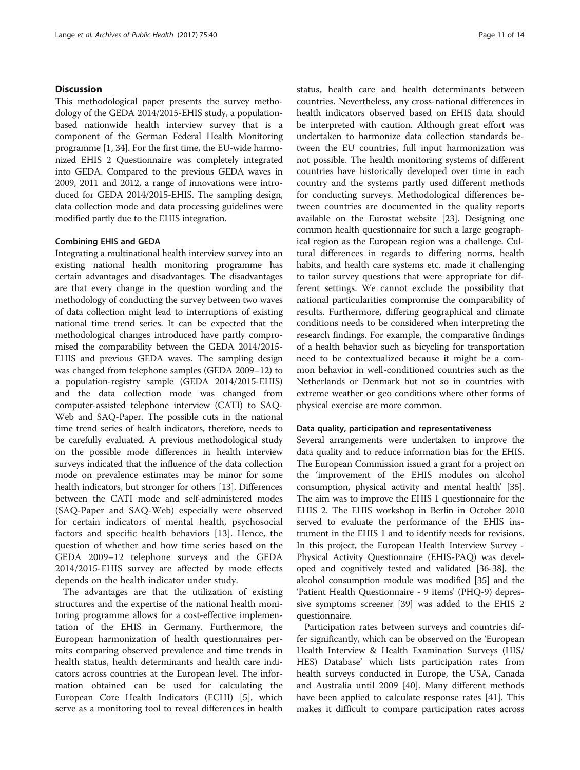# **Discussion**

This methodological paper presents the survey methodology of the GEDA 2014/2015-EHIS study, a populationbased nationwide health interview survey that is a component of the German Federal Health Monitoring programme [\[1](#page-12-0), [34](#page-12-0)]. For the first time, the EU-wide harmonized EHIS 2 Questionnaire was completely integrated into GEDA. Compared to the previous GEDA waves in 2009, 2011 and 2012, a range of innovations were introduced for GEDA 2014/2015-EHIS. The sampling design, data collection mode and data processing guidelines were modified partly due to the EHIS integration.

## Combining EHIS and GEDA

Integrating a multinational health interview survey into an existing national health monitoring programme has certain advantages and disadvantages. The disadvantages are that every change in the question wording and the methodology of conducting the survey between two waves of data collection might lead to interruptions of existing national time trend series. It can be expected that the methodological changes introduced have partly compromised the comparability between the GEDA 2014/2015- EHIS and previous GEDA waves. The sampling design was changed from telephone samples (GEDA 2009–12) to a population-registry sample (GEDA 2014/2015-EHIS) and the data collection mode was changed from computer-assisted telephone interview (CATI) to SAQ-Web and SAQ-Paper. The possible cuts in the national time trend series of health indicators, therefore, needs to be carefully evaluated. A previous methodological study on the possible mode differences in health interview surveys indicated that the influence of the data collection mode on prevalence estimates may be minor for some health indicators, but stronger for others [[13](#page-12-0)]. Differences between the CATI mode and self-administered modes (SAQ-Paper and SAQ-Web) especially were observed for certain indicators of mental health, psychosocial factors and specific health behaviors [[13\]](#page-12-0). Hence, the question of whether and how time series based on the GEDA 2009–12 telephone surveys and the GEDA 2014/2015-EHIS survey are affected by mode effects depends on the health indicator under study.

The advantages are that the utilization of existing structures and the expertise of the national health monitoring programme allows for a cost-effective implementation of the EHIS in Germany. Furthermore, the European harmonization of health questionnaires permits comparing observed prevalence and time trends in health status, health determinants and health care indicators across countries at the European level. The information obtained can be used for calculating the European Core Health Indicators (ECHI) [\[5](#page-12-0)], which serve as a monitoring tool to reveal differences in health status, health care and health determinants between countries. Nevertheless, any cross-national differences in health indicators observed based on EHIS data should be interpreted with caution. Although great effort was undertaken to harmonize data collection standards between the EU countries, full input harmonization was not possible. The health monitoring systems of different countries have historically developed over time in each country and the systems partly used different methods for conducting surveys. Methodological differences between countries are documented in the quality reports available on the Eurostat website [\[23\]](#page-12-0). Designing one common health questionnaire for such a large geographical region as the European region was a challenge. Cultural differences in regards to differing norms, health habits, and health care systems etc. made it challenging to tailor survey questions that were appropriate for different settings. We cannot exclude the possibility that national particularities compromise the comparability of results. Furthermore, differing geographical and climate conditions needs to be considered when interpreting the research findings. For example, the comparative findings of a health behavior such as bicycling for transportation need to be contextualized because it might be a common behavior in well-conditioned countries such as the Netherlands or Denmark but not so in countries with extreme weather or geo conditions where other forms of physical exercise are more common.

#### Data quality, participation and representativeness

Several arrangements were undertaken to improve the data quality and to reduce information bias for the EHIS. The European Commission issued a grant for a project on the 'improvement of the EHIS modules on alcohol consumption, physical activity and mental health' [[35](#page-12-0)]. The aim was to improve the EHIS 1 questionnaire for the EHIS 2. The EHIS workshop in Berlin in October 2010 served to evaluate the performance of the EHIS instrument in the EHIS 1 and to identify needs for revisions. In this project, the European Health Interview Survey - Physical Activity Questionnaire (EHIS-PAQ) was developed and cognitively tested and validated [\[36](#page-12-0)-[38](#page-12-0)], the alcohol consumption module was modified [\[35\]](#page-12-0) and the 'Patient Health Questionnaire - 9 items' (PHQ-9) depressive symptoms screener [[39](#page-13-0)] was added to the EHIS 2 questionnaire.

Participation rates between surveys and countries differ significantly, which can be observed on the 'European Health Interview & Health Examination Surveys (HIS/ HES) Database' which lists participation rates from health surveys conducted in Europe, the USA, Canada and Australia until 2009 [[40\]](#page-13-0). Many different methods have been applied to calculate response rates [\[41](#page-13-0)]. This makes it difficult to compare participation rates across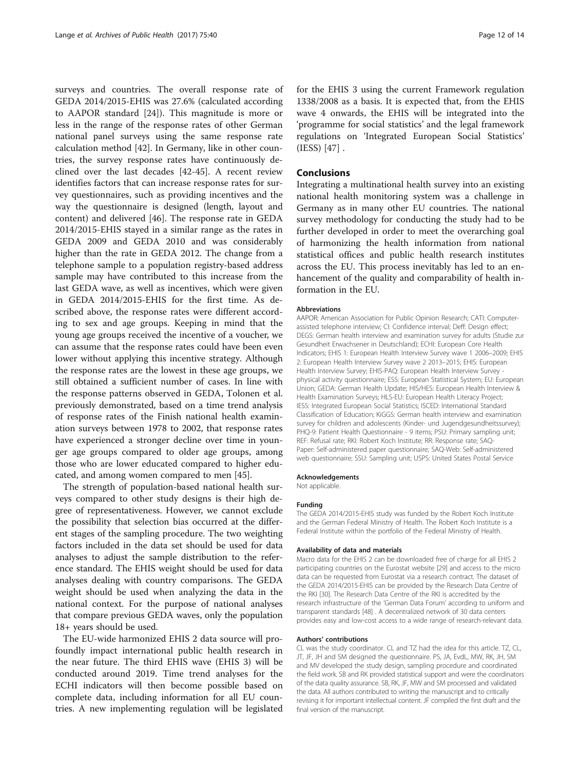surveys and countries. The overall response rate of GEDA 2014/2015-EHIS was 27.6% (calculated according to AAPOR standard [[24\]](#page-12-0)). This magnitude is more or less in the range of the response rates of other German national panel surveys using the same response rate calculation method [\[42](#page-13-0)]. In Germany, like in other countries, the survey response rates have continuously declined over the last decades [\[42](#page-13-0)-[45](#page-13-0)]. A recent review identifies factors that can increase response rates for survey questionnaires, such as providing incentives and the way the questionnaire is designed (length, layout and content) and delivered [\[46\]](#page-13-0). The response rate in GEDA 2014/2015-EHIS stayed in a similar range as the rates in GEDA 2009 and GEDA 2010 and was considerably higher than the rate in GEDA 2012. The change from a telephone sample to a population registry-based address sample may have contributed to this increase from the last GEDA wave, as well as incentives, which were given in GEDA 2014/2015-EHIS for the first time. As described above, the response rates were different according to sex and age groups. Keeping in mind that the young age groups received the incentive of a voucher, we can assume that the response rates could have been even lower without applying this incentive strategy. Although the response rates are the lowest in these age groups, we still obtained a sufficient number of cases. In line with the response patterns observed in GEDA, Tolonen et al. previously demonstrated, based on a time trend analysis of response rates of the Finish national health examination surveys between 1978 to 2002, that response rates have experienced a stronger decline over time in younger age groups compared to older age groups, among those who are lower educated compared to higher educated, and among women compared to men [[45\]](#page-13-0).

The strength of population-based national health surveys compared to other study designs is their high degree of representativeness. However, we cannot exclude the possibility that selection bias occurred at the different stages of the sampling procedure. The two weighting factors included in the data set should be used for data analyses to adjust the sample distribution to the reference standard. The EHIS weight should be used for data analyses dealing with country comparisons. The GEDA weight should be used when analyzing the data in the national context. For the purpose of national analyses that compare previous GEDA waves, only the population 18+ years should be used.

The EU-wide harmonized EHIS 2 data source will profoundly impact international public health research in the near future. The third EHIS wave (EHIS 3) will be conducted around 2019. Time trend analyses for the ECHI indicators will then become possible based on complete data, including information for all EU countries. A new implementing regulation will be legislated for the EHIS 3 using the current Framework regulation 1338/2008 as a basis. It is expected that, from the EHIS wave 4 onwards, the EHIS will be integrated into the 'programme for social statistics' and the legal framework regulations on 'Integrated European Social Statistics' (IESS) [\[47\]](#page-13-0) .

## Conclusions

Integrating a multinational health survey into an existing national health monitoring system was a challenge in Germany as in many other EU countries. The national survey methodology for conducting the study had to be further developed in order to meet the overarching goal of harmonizing the health information from national statistical offices and public health research institutes across the EU. This process inevitably has led to an enhancement of the quality and comparability of health information in the EU.

#### Abbreviations

AAPOR: American Association for Public Opinion Research; CATI: Computerassisted telephone interview; CI: Confidence interval; Deff: Design effect: DEGS: German health interview and examination survey for adults (Studie zur Gesundheit Erwachsener in Deutschland); ECHI: European Core Health Indicators; EHIS 1: European Health Interview Survey wave 1 2006–2009; EHIS 2: European Health Interview Survey wave 2 2013–2015; EHIS: European Health Interview Survey; EHIS-PAQ: European Health Interview Survey physical activity questionnaire; ESS: European Statistical System; EU: European Union; GEDA: German Health Update; HIS/HES: European Health Interview & Health Examination Surveys; HLS-EU: European Health Literacy Project; IESS: Integrated European Social Statistics; ISCED: International Standard Classification of Education; KiGGS: German health interview and examination survey for children and adolescents (Kinder- und Jugendgesundheitssurvey); PHQ-9: Patient Health Questionnaire - 9 items; PSU: Primary sampling unit; REF: Refusal rate; RKI: Robert Koch Institute; RR: Response rate; SAQ-Paper: Self-administered paper questionnaire; SAQ-Web: Self-administered web questionnaire; SSU: Sampling unit; USPS: United States Postal Service

#### Acknowledgements

Not applicable.

#### Funding

The GEDA 2014/2015-EHIS study was funded by the Robert Koch Institute and the German Federal Ministry of Health. The Robert Koch Institute is a Federal Institute within the portfolio of the Federal Ministry of Health.

#### Availability of data and materials

Macro data for the EHIS 2 can be downloaded free of charge for all EHIS 2 participating countries on the Eurostat website [[29\]](#page-12-0) and access to the micro data can be requested from Eurostat via a research contract. The dataset of the GEDA 2014/2015-EHIS can be provided by the Research Data Centre of the RKI [\[30](#page-12-0)]. The Research Data Centre of the RKI is accredited by the research infrastructure of the 'German Data Forum' according to uniform and transparent standards [[48](#page-13-0)] . A decentralized network of 30 data centers provides easy and low-cost access to a wide range of research-relevant data.

#### Authors' contributions

CL was the study coordinator. CL and TZ had the idea for this article. TZ, CL, JT, JF, JH and SM designed the questionnaire. PS, JA, EvdL, MW, RK, JH, SM and MV developed the study design, sampling procedure and coordinated the field work. SB and RK provided statistical support and were the coordinators of the data quality assurance. SB, RK, JF, MW and SM processed and validated the data. All authors contributed to writing the manuscript and to critically revising it for important intellectual content. JF compiled the first draft and the final version of the manuscript.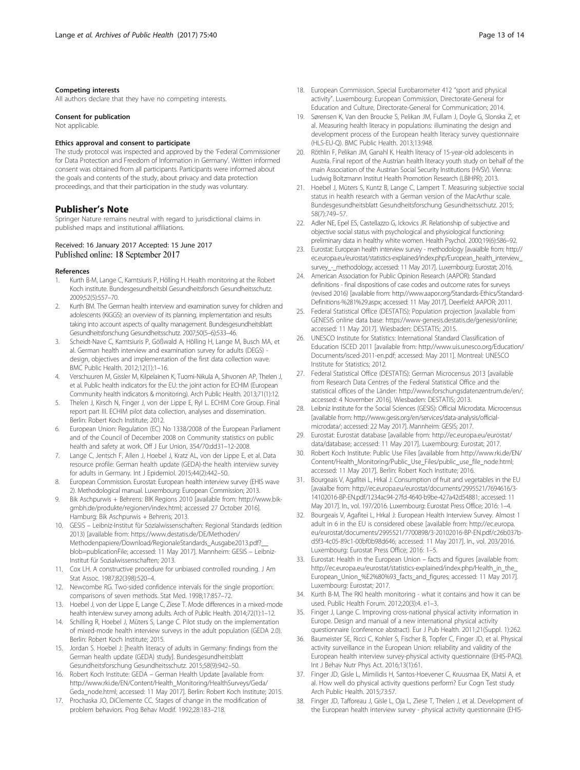#### <span id="page-12-0"></span>Competing interests

All authors declare that they have no competing interests.

#### Consent for publication

Not applicable.

#### Ethics approval and consent to participate

The study protocol was inspected and approved by the 'Federal Commissioner for Data Protection and Freedom of Information in Germany'. Written informed consent was obtained from all participants. Participants were informed about the goals and contents of the study, about privacy and data protection proceedings, and that their participation in the study was voluntary.

#### Publisher's Note

Springer Nature remains neutral with regard to jurisdictional claims in published maps and institutional affiliations.

## Received: 16 January 2017 Accepted: 15 June 2017 Published online: 18 September 2017

#### References

- 1. Kurth B-M, Lange C, Kamtsiuris P, Hölling H. Health monitoring at the Robert Koch institute. Bundesgesundheitsbl Gesundheitsforsch Gesundheitsschutz. 2009;52(5):557–70.
- 2. Kurth BM. The German health interview and examination survey for children and adolescents (KiGGS): an overview of its planning, implementation and results taking into account aspects of quality management. Bundesgesundheitsblatt Gesundheitsforschung Gesundheitsschutz. 2007;50(5–6):533–46.
- 3. Scheidt-Nave C, Kamtsiuris P, Gößwald A, Hölling H, Lange M, Busch MA, et al. German health interview and examination survey for adults (DEGS) design, objectives and implementation of the first data collection wave. BMC Public Health. 2012;12(1):1–16.
- 4. Verschuuren M, Gissler M, Kilpelainen K, Tuomi-Nikula A, Sihvonen AP, Thelen J, et al. Public health indicators for the EU: the joint action for ECHIM (European Community health indicators & monitoring). Arch Public Health. 2013;71(1):12.
- 5. Thelen J, Kirsch N, Finger J, von der Lippe E, Ryl L. ECHIM Core Group. Final report part III. ECHIM pilot data collection, analyses and dissemination. Berlin: Robert Koch Institute; 2012.
- 6. European Union: Regulation (EC) No 1338/2008 of the European Parliament and of the Council of December 2008 on Community statistics on public health and safety at work. Off J Eur Union, 354/70:dd31–12-2008.
- 7. Lange C, Jentsch F, Allen J, Hoebel J, Kratz AL, von der Lippe E, et al. Data resource profile: German health update (GEDA)-the health interview survey for adults in Germany. Int J Epidemiol. 2015;44(2):442–50.
- 8. European Commission. Eurostat: European health interview survey (EHIS wave 2). Methodological manual. Luxembourg: European Commission; 2013.
- 9. Bik Aschpurwis + Behrens: BIK Regions 2010 [available from: [http://www.bik](http://www.bik-gmbh.de/produkte/regionen/index.html)[gmbh.de/produkte/regionen/index.html](http://www.bik-gmbh.de/produkte/regionen/index.html); accessed 27 October 2016]. Hamburg: Bik Aschpurwis + Behrens; 2013.
- 10. GESIS Leibniz-Institut für Sozialwissenschaften: Regional Standards (edition 2013) [available from: [https://www.destatis.de/DE/Methoden/](https://www.destatis.de/DE/Methoden/Methodenpapiere/Download/RegionaleStandards_Ausgabe2013.pdf?__blob=publicationFile) [Methodenpapiere/Download/RegionaleStandards\\_Ausgabe2013.pdf?\\_\\_](https://www.destatis.de/DE/Methoden/Methodenpapiere/Download/RegionaleStandards_Ausgabe2013.pdf?__blob=publicationFile) [blob=publicationFile](https://www.destatis.de/DE/Methoden/Methodenpapiere/Download/RegionaleStandards_Ausgabe2013.pdf?__blob=publicationFile); accessed: 11 May 2017]. Mannheim: GESIS – Leibniz-Institut für Sozialwissenschaften; 2013.
- 11. Cox LH. A constructive procedure for unbiased controlled rounding. J Am Stat Assoc. 1987;82(398):520–4.
- 12. Newcombe RG. Two-sided confidence intervals for the single proportion: comparisons of seven methods. Stat Med. 1998;17:857–72.
- 13. Hoebel J, von der Lippe E, Lange C, Ziese T. Mode differences in a mixed-mode health interview survey among adults. Arch of Public Health. 2014;72(1):1–12.
- 14. Schilling R, Hoebel J, Müters S, Lange C. Pilot study on the implementation of mixed-mode health interview surveys in the adult population (GEDA 2.0). Berlin: Robert Koch Institute; 2015.
- 15. Jordan S. Hoebel J: [health literacy of adults in Germany: findings from the German health update (GEDA) study]. Bundesgesundheitsblatt Gesundheitsforschung Gesundheitsschutz. 2015;58(9):942–50.
- 16. Robert Koch Institute: GEDA German Health Update [available from: [http://www.rki.de/EN/Content/Health\\_Monitoring/HealthSurveys/Geda/](http://www.rki.de/EN/Content/Health_Monitoring/HealthSurveys/Geda/Geda_node.html) [Geda\\_node.html](http://www.rki.de/EN/Content/Health_Monitoring/HealthSurveys/Geda/Geda_node.html); accessed: 11 May 2017]. Berlin: Robert Koch Institute; 2015.
- 17. Prochaska JO, DiClemente CC. Stages of change in the modification of problem behaviors. Prog Behav Modif. 1992;28:183–218.
- 18. European Commission. Special Eurobarometer 412 "sport and physical activity". Luxembourg: European Commission, Directorate-General for Education and Culture, Directorate-General for Communication; 2014.
- 19. Sørensen K, Van den Broucke S, Pelikan JM, Fullam J, Doyle G, Slonska Z, et al. Measuring health literacy in populations: illuminating the design and development process of the European health literacy survey questionnaire (HLS-EU-Q). BMC Public Health. 2013;13:948.
- 20. Röthlin F, Pelikan JM, Ganahl K. Health literacy of 15-year-old adolescents in Austria. Final report of the Austrian health literacy youth study on behalf of the main Association of the Austrian Social Security Institutions (HVSV). Vienna: Ludwig Boltzmann Institut Health Promotion Research (LBIHPR); 2013.
- 21. Hoebel J, Müters S, Kuntz B, Lange C, Lampert T, Measuring subjective social status in health research with a German version of the MacArthur scale. Bundesgesundheitsblatt Gesundheitsforschung Gesundheitsschutz. 2015; 58(7):749–57.
- 22. Adler NE, Epel ES, Castellazzo G, Ickovics JR. Relationship of subjective and objective social status with psychological and physiological functioning: preliminary data in healthy white women. Health Psychol. 2000;19(6):586–92.
- 23. Eurostat: European health interview survey methodology [avaialble from: [http://](http://ec.europa.eu/eurostat/statistics-explained/index.php/European_health_interview_survey_-_methodology) [ec.europa.eu/eurostat/statistics-explained/index.php/European\\_health\\_interview\\_](http://ec.europa.eu/eurostat/statistics-explained/index.php/European_health_interview_survey_-_methodology) [survey\\_-\\_methodology](http://ec.europa.eu/eurostat/statistics-explained/index.php/European_health_interview_survey_-_methodology); accessed: 11 May 2017]. Luxembourg: Eurostat; 2016.
- 24. American Association for Public Opinion Research (AAPOR): Standard definitions - final dispositions of case codes and outcome rates for surveys (revised 2016) [available from: [http://www.aapor.org/Standards-Ethics/Standard-](http://www.aapor.org/Standards-Ethics/Standard-Definitions-%281%29.aspx)[Definitions-%281%29.aspx;](http://www.aapor.org/Standards-Ethics/Standard-Definitions-%281%29.aspx) accessed: 11 May 2017]. Deerfield: AAPOR; 2011.
- 25. Federal Statistical Office (DESTATIS): Population projection [available from GENESIS online data base:<https://www-genesis.destatis.de/genesis/online>; accessed: 11 May 2017]. Wiesbaden: DESTATIS; 2015.
- 26. UNESCO Institute for Statistics: International Standard Classification of Education ISCED 2011 [available from: [http://www.uis.unesco.org/Education/](http://www.uis.unesco.org/Education/Documents/isced-2011-en.pdf) [Documents/isced-2011-en.pdf](http://www.uis.unesco.org/Education/Documents/isced-2011-en.pdf); accessed: May 2011]. Montreal: UNESCO Institute for Statistics; 2012.
- 27. Federal Statistical Office (DESTATIS): German Microcensus 2013 [available from Research Data Centres of the Federal Statistical Office and the statistical offices of the Länder: [http://www.forschungsdatenzentrum.de/en/](http://www.forschungsdatenzentrum.de/en); accessed: 4 November 2016]. Wiesbaden: DESTATIS; 2013.
- 28. Leibniz Institute for the Social Sciences (GESIS): Official Microdata. Microcensus [available from: [http://www.gesis.org/en/services/data-analysis/official](http://www.gesis.org/en/services/data-analysis/official-microdata)[microdata/;](http://www.gesis.org/en/services/data-analysis/official-microdata) accessed: 22 May 2017]. Mannheim: GESIS; 2017.
- 29. Eurostat: Eurostat database [available from: [http://ec.europa.eu/eurostat/](http://ec.europa.eu/eurostat/data/database) [data/database;](http://ec.europa.eu/eurostat/data/database) accessed: 11 May 2017]. Luxembourg: Eurostat; 2017.
- 30. Robert Koch Institute: Public Use Files [available from [http://www.rki.de/EN/](http://www.rki.de/EN/Content/Health_Monitoring/Public_Use_Files/public_use_file_node.html) [Content/Health\\_Monitoring/Public\\_Use\\_Files/public\\_use\\_file\\_node.html](http://www.rki.de/EN/Content/Health_Monitoring/Public_Use_Files/public_use_file_node.html); accessed: 11 May 2017]. Berlin: Robert Koch Institute; 2016.
- 31. Bourgeais V, Agafitei L, Hrkal J: Consumption of fruit and vegetables in the EU [avaialbe from: [http://ec.europa.eu/eurostat/documents/2995521/7694616/3-](http://ec.europa.eu/eurostat/documents/2995521/7694616/3-14102016-BP-EN.pdf/1234ac94-27fd-4640-b9be-427a42d54881) [14102016-BP-EN.pdf/1234ac94-27fd-4640-b9be-427a42d54881](http://ec.europa.eu/eurostat/documents/2995521/7694616/3-14102016-BP-EN.pdf/1234ac94-27fd-4640-b9be-427a42d54881); accessed: 11 May 2017]. In., vol. 197/2016. Luxembourg: Eurostat Press Office; 2016: 1–4.
- 32. Bourgeais V, Agafitei L, Hrkal J: European Health Interview Survey. Almost 1 adult in 6 in the EU is considered obese [available from: [http://ec.europa.](http://ec.europa.eu/eurostat/documents/2995521/7700898/3-20102016-BP-EN.pdf/c26b037b-d5f3-4c05-89c1-00bf0b98d646) [eu/eurostat/documents/2995521/7700898/3-20102016-BP-EN.pdf/c26b037b](http://ec.europa.eu/eurostat/documents/2995521/7700898/3-20102016-BP-EN.pdf/c26b037b-d5f3-4c05-89c1-00bf0b98d646)[d5f3-4c05-89c1-00bf0b98d646;](http://ec.europa.eu/eurostat/documents/2995521/7700898/3-20102016-BP-EN.pdf/c26b037b-d5f3-4c05-89c1-00bf0b98d646) accessed: 11 May 2017]. In., vol. 203/2016. Luxembourg: Eurostat Press Office; 2016: 1–5.
- 33. Eurostat: Health in the European Union facts and figures [available from: [http://ec.europa.eu/eurostat/statistics-explained/index.php/Health\\_in\\_the\\_](http://ec.europa.eu/eurostat/statistics-explained/index.php/Health_in_the_European_Union_%E2%80%93_facts_and_figures) [European\\_Union\\_%E2%80%93\\_facts\\_and\\_figures;](http://ec.europa.eu/eurostat/statistics-explained/index.php/Health_in_the_European_Union_%E2%80%93_facts_and_figures) accessed: 11 May 2017]. Luxembourg: Eurostat; 2017.
- 34. Kurth B-M. The RKI health monitoring what it contains and how it can be used. Public Health Forum. 2012;20(3):4. e1–3.
- 35. Finger J, Lange C. Improving cross-national physical activity information in Europe. Design and manual of a new international physical activity questionnaire (conference abstract). Eur J Pub Health. 2011;21(Suppl. 1):262.
- 36. Baumeister SE, Ricci C, Kohler S, Fischer B, Topfer C, Finger JD, et al. Physical activity surveillance in the European Union: reliability and validity of the European health interview survey-physical activity questionnaire (EHIS-PAQ). Int J Behav Nutr Phys Act. 2016;13(1):61.
- 37. Finger JD, Gisle L, Mimilidis H, Santos-Hoevener C, Kruusmaa EK, Matsi A, et al. How well do physical activity questions perform? Eur Cogn Test study Arch Public Health. 2015;73:57.
- 38. Finger JD, Tafforeau J, Gisle L, Oja L, Ziese T, Thelen J, et al. Development of the European health interview survey - physical activity questionnaire (EHIS-